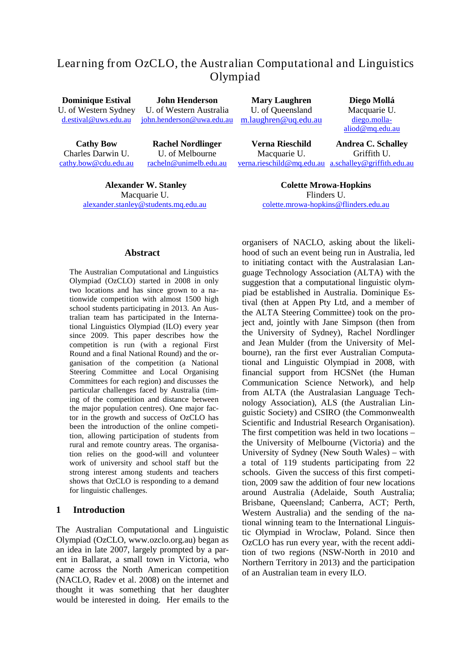# Learning from OzCLO, the Australian Computational and Linguistics Olympiad

**Dominique Estival** U. of Western Sydney [d.estival@uws.edu.au](mailto:d.estival@uws.edu.au)

**John Henderson** U. of Western Australia [john.henderson@uwa.edu.au](mailto:john.henderson@uwa.edu.au)

**Cathy Bow** Charles Darwin U. [cathy.bow@cdu.edu.au](mailto:cathy.bow@cdu.edu.au)

**Rachel Nordlinger** U. of Melbourne [racheln@unimelb.edu.au](mailto:racheln@unimelb.edu.au)

**Alexander W. Stanley** Macquarie U. [alexander.stanley@students.mq.edu.au](mailto:alexander.stanley@students.mq.edu.au)

**Mary Laughren** U. of Queensland [m.laughren@uq.edu.au](mailto:m.laughren@uq.edu.au)

[diego.molla](mailto:diego.molla-aliod@mq.edu.au)[aliod@mq.edu.au](mailto:diego.molla-aliod@mq.edu.au) **Andrea C. Schalley**

**Diego Mollá** Macquarie U.

**Verna Rieschild** Macquarie U. [verna.rieschild@mq.edu.au](mailto:verna.rieschild@mq.edu.au) [a.schalley@griffith.edu.au](mailto:a.schalley@griffith.edu.au) Griffith U.

> **Colette Mrowa-Hopkins** Flinders U. [colette.mrowa-hopkins@flinders.edu.au](mailto:colette.mrowa-hopkins@flinders.edu.au)

#### **Abstract**

The Australian Computational and Linguistics Olympiad (OzCLO) started in 2008 in only two locations and has since grown to a nationwide competition with almost 1500 high school students participating in 2013. An Australian team has participated in the International Linguistics Olympiad (ILO) every year since 2009. This paper describes how the competition is run (with a regional First Round and a final National Round) and the organisation of the competition (a National Steering Committee and Local Organising Committees for each region) and discusses the particular challenges faced by Australia (timing of the competition and distance between the major population centres). One major factor in the growth and success of OzCLO has been the introduction of the online competition, allowing participation of students from rural and remote country areas. The organisation relies on the good-will and volunteer work of university and school staff but the strong interest among students and teachers shows that OzCLO is responding to a demand for linguistic challenges.

#### **1 Introduction**

The Australian Computational and Linguistic Olympiad (OzCLO, www.ozclo.org.au) began as an idea in late 2007, largely prompted by a parent in Ballarat, a small town in Victoria, who came across the North American competition (NACLO, Radev et al. 2008) on the internet and thought it was something that her daughter would be interested in doing. Her emails to the

organisers of NACLO, asking about the likelihood of such an event being run in Australia, led to initiating contact with the Australasian Language Technology Association (ALTA) with the suggestion that a computational linguistic olympiad be established in Australia. Dominique Estival (then at Appen Pty Ltd, and a member of the ALTA Steering Committee) took on the project and, jointly with Jane Simpson (then from the University of Sydney), Rachel Nordlinger and Jean Mulder (from the University of Melbourne), ran the first ever Australian Computational and Linguistic Olympiad in 2008, with financial support from HCSNet (the Human Communication Science Network), and help from ALTA (the Australasian Language Technology Association), ALS (the Australian Linguistic Society) and CSIRO (the Commonwealth Scientific and Industrial Research Organisation). The first competition was held in two locations – the University of Melbourne (Victoria) and the University of Sydney (New South Wales) – with a total of 119 students participating from 22 schools. Given the success of this first competition, 2009 saw the addition of four new locations around Australia (Adelaide, South Australia; Brisbane, Queensland; Canberra, ACT; Perth, Western Australia) and the sending of the national winning team to the International Linguistic Olympiad in Wroclaw, Poland. Since then OzCLO has run every year, with the recent addition of two regions (NSW-North in 2010 and Northern Territory in 2013) and the participation of an Australian team in every ILO.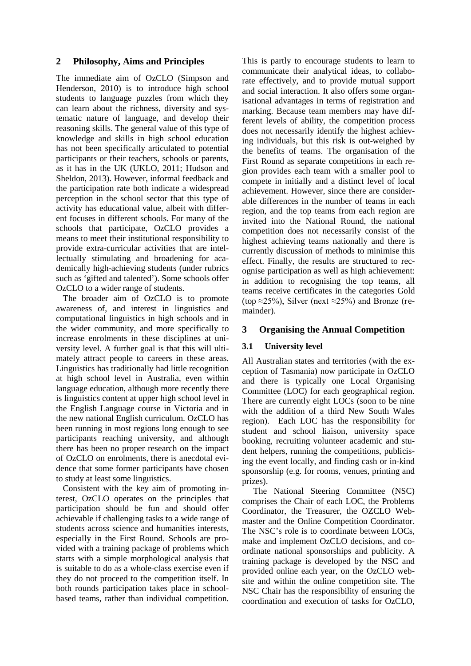#### **2 Philosophy, Aims and Principles**

The immediate aim of OzCLO (Simpson and Henderson, 2010) is to introduce high school students to language puzzles from which they can learn about the richness, diversity and systematic nature of language, and develop their reasoning skills. The general value of this type of knowledge and skills in high school education has not been specifically articulated to potential participants or their teachers, schools or parents, as it has in the UK (UKLO, 2011; Hudson and Sheldon, 2013). However, informal feedback and the participation rate both indicate a widespread perception in the school sector that this type of activity has educational value, albeit with different focuses in different schools. For many of the schools that participate, OzCLO provides a means to meet their institutional responsibility to provide extra-curricular activities that are intellectually stimulating and broadening for academically high-achieving students (under rubrics such as 'gifted and talented'). Some schools offer OzCLO to a wider range of students.

The broader aim of OzCLO is to promote awareness of, and interest in linguistics and computational linguistics in high schools and in the wider community, and more specifically to increase enrolments in these disciplines at university level. A further goal is that this will ultimately attract people to careers in these areas. Linguistics has traditionally had little recognition at high school level in Australia, even within language education, although more recently there is linguistics content at upper high school level in the English Language course in Victoria and in the new national English curriculum. OzCLO has been running in most regions long enough to see participants reaching university, and although there has been no proper research on the impact of OzCLO on enrolments, there is anecdotal evidence that some former participants have chosen to study at least some linguistics.

Consistent with the key aim of promoting interest, OzCLO operates on the principles that participation should be fun and should offer achievable if challenging tasks to a wide range of students across science and humanities interests, especially in the First Round. Schools are provided with a training package of problems which starts with a simple morphological analysis that is suitable to do as a whole-class exercise even if they do not proceed to the competition itself. In both rounds participation takes place in schoolbased teams, rather than individual competition.

This is partly to encourage students to learn to communicate their analytical ideas, to collaborate effectively, and to provide mutual support and social interaction. It also offers some organisational advantages in terms of registration and marking. Because team members may have different levels of ability, the competition process does not necessarily identify the highest achieving individuals, but this risk is out-weighed by the benefits of teams. The organisation of the First Round as separate competitions in each region provides each team with a smaller pool to compete in initially and a distinct level of local achievement. However, since there are considerable differences in the number of teams in each region, and the top teams from each region are invited into the National Round, the national competition does not necessarily consist of the highest achieving teams nationally and there is currently discussion of methods to minimise this effect. Finally, the results are structured to recognise participation as well as high achievement: in addition to recognising the top teams, all teams receive certificates in the categories Gold (top ≈25%), Silver (next ≈25%) and Bronze (remainder).

## **3 Organising the Annual Competition**

#### **3.1 University level**

All Australian states and territories (with the exception of Tasmania) now participate in OzCLO and there is typically one Local Organising Committee (LOC) for each geographical region. There are currently eight LOCs (soon to be nine with the addition of a third New South Wales region). Each LOC has the responsibility for student and school liaison, university space booking, recruiting volunteer academic and student helpers, running the competitions, publicising the event locally, and finding cash or in-kind sponsorship (e.g. for rooms, venues, printing and prizes).

The National Steering Committee (NSC) comprises the Chair of each LOC, the Problems Coordinator, the Treasurer, the OZCLO Webmaster and the Online Competition Coordinator. The NSC's role is to coordinate between LOCs, make and implement OzCLO decisions, and coordinate national sponsorships and publicity. A training package is developed by the NSC and provided online each year, on the OzCLO website and within the online competition site. The NSC Chair has the responsibility of ensuring the coordination and execution of tasks for OzCLO,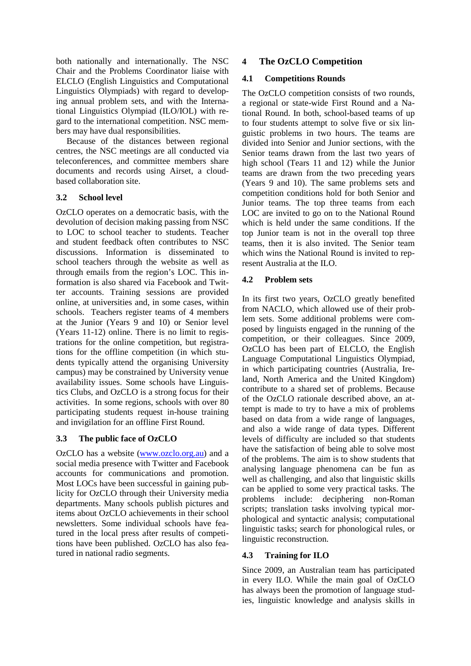both nationally and internationally. The NSC Chair and the Problems Coordinator liaise with ELCLO (English Linguistics and Computational Linguistics Olympiads) with regard to developing annual problem sets, and with the International Linguistics Olympiad (ILO/IOL) with regard to the international competition. NSC members may have dual responsibilities.

Because of the distances between regional centres, the NSC meetings are all conducted via teleconferences, and committee members share documents and records using Airset, a cloudbased collaboration site.

#### **3.2 School level**

OzCLO operates on a democratic basis, with the devolution of decision making passing from NSC to LOC to school teacher to students. Teacher and student feedback often contributes to NSC discussions. Information is disseminated to school teachers through the website as well as through emails from the region's LOC. This information is also shared via Facebook and Twitter accounts. Training sessions are provided online, at universities and, in some cases, within schools. Teachers register teams of 4 members at the Junior (Years 9 and 10) or Senior level (Years 11-12) online. There is no limit to registrations for the online competition, but registrations for the offline competition (in which students typically attend the organising University campus) may be constrained by University venue availability issues. Some schools have Linguistics Clubs, and OzCLO is a strong focus for their activities. In some regions, schools with over 80 participating students request in-house training and invigilation for an offline First Round.

## **3.3 The public face of OzCLO**

OzCLO has a website [\(www.ozclo.org.au\)](http://www.ozclo.org.au/) and a social media presence with Twitter and Facebook accounts for communications and promotion. Most LOCs have been successful in gaining publicity for OzCLO through their University media departments. Many schools publish pictures and items about OzCLO achievements in their school newsletters. Some individual schools have featured in the local press after results of competitions have been published. OzCLO has also featured in national radio segments.

# **4 The OzCLO Competition**

#### **4.1 Competitions Rounds**

The OzCLO competition consists of two rounds, a regional or state-wide First Round and a National Round. In both, school-based teams of up to four students attempt to solve five or six linguistic problems in two hours. The teams are divided into Senior and Junior sections, with the Senior teams drawn from the last two years of high school (Tears 11 and 12) while the Junior teams are drawn from the two preceding years (Years 9 and 10). The same problems sets and competition conditions hold for both Senior and Junior teams. The top three teams from each LOC are invited to go on to the National Round which is held under the same conditions. If the top Junior team is not in the overall top three teams, then it is also invited. The Senior team which wins the National Round is invited to represent Australia at the ILO.

#### **4.2 Problem sets**

In its first two years, OzCLO greatly benefited from NACLO, which allowed use of their problem sets. Some additional problems were composed by linguists engaged in the running of the competition, or their colleagues. Since 2009, OzCLO has been part of ELCLO, the English Language Computational Linguistics Olympiad, in which participating countries (Australia, Ireland, North America and the United Kingdom) contribute to a shared set of problems. Because of the OzCLO rationale described above, an attempt is made to try to have a mix of problems based on data from a wide range of languages, and also a wide range of data types. Different levels of difficulty are included so that students have the satisfaction of being able to solve most of the problems. The aim is to show students that analysing language phenomena can be fun as well as challenging, and also that linguistic skills can be applied to some very practical tasks. The problems include: deciphering non-Roman scripts; translation tasks involving typical morphological and syntactic analysis; computational linguistic tasks; search for phonological rules, or linguistic reconstruction.

## **4.3 Training for ILO**

Since 2009, an Australian team has participated in every ILO. While the main goal of OzCLO has always been the promotion of language studies, linguistic knowledge and analysis skills in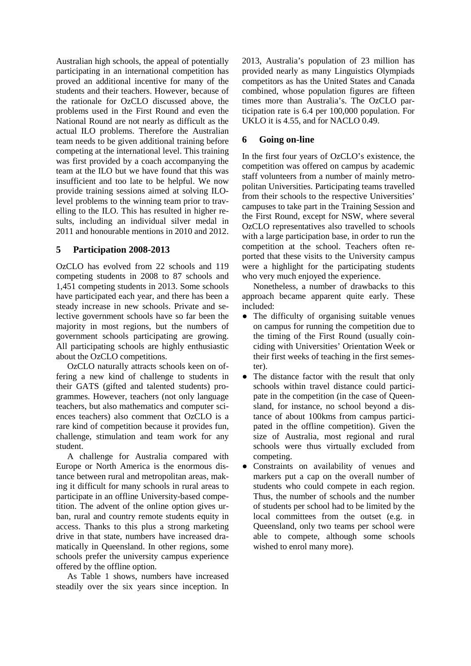Australian high schools, the appeal of potentially participating in an international competition has proved an additional incentive for many of the students and their teachers. However, because of the rationale for OzCLO discussed above, the problems used in the First Round and even the National Round are not nearly as difficult as the actual ILO problems. Therefore the Australian team needs to be given additional training before competing at the international level. This training was first provided by a coach accompanying the team at the ILO but we have found that this was insufficient and too late to be helpful. We now provide training sessions aimed at solving ILOlevel problems to the winning team prior to travelling to the ILO. This has resulted in higher results, including an individual silver medal in 2011 and honourable mentions in 2010 and 2012.

## **5 Participation 2008-2013**

OzCLO has evolved from 22 schools and 119 competing students in 2008 to 87 schools and 1,451 competing students in 2013. Some schools have participated each year, and there has been a steady increase in new schools. Private and selective government schools have so far been the majority in most regions, but the numbers of government schools participating are growing. All participating schools are highly enthusiastic about the OzCLO competitions.

OzCLO naturally attracts schools keen on offering a new kind of challenge to students in their GATS (gifted and talented students) programmes. However, teachers (not only language teachers, but also mathematics and computer sciences teachers) also comment that OzCLO is a rare kind of competition because it provides fun, challenge, stimulation and team work for any student.

A challenge for Australia compared with Europe or North America is the enormous distance between rural and metropolitan areas, making it difficult for many schools in rural areas to participate in an offline University-based competition. The advent of the online option gives urban, rural and country remote students equity in access. Thanks to this plus a strong marketing drive in that state, numbers have increased dramatically in Queensland. In other regions, some schools prefer the university campus experience offered by the offline option.

As Table 1 shows, numbers have increased steadily over the six years since inception. In 2013, Australia's population of 23 million has provided nearly as many Linguistics Olympiads competitors as has the United States and Canada combined, whose population figures are fifteen times more than Australia's. The OzCLO participation rate is 6.4 per 100,000 population. For UKLO it is 4.55, and for NACLO 0.49.

# **6 Going on-line**

In the first four years of OzCLO's existence, the competition was offered on campus by academic staff volunteers from a number of mainly metropolitan Universities. Participating teams travelled from their schools to the respective Universities' campuses to take part in the Training Session and the First Round, except for NSW, where several OzCLO representatives also travelled to schools with a large participation base, in order to run the competition at the school. Teachers often reported that these visits to the University campus were a highlight for the participating students who very much enjoyed the experience.

Nonetheless, a number of drawbacks to this approach became apparent quite early. These included:

- The difficulty of organising suitable venues on campus for running the competition due to the timing of the First Round (usually coinciding with Universities' Orientation Week or their first weeks of teaching in the first semester).
- The distance factor with the result that only schools within travel distance could participate in the competition (in the case of Queensland, for instance, no school beyond a distance of about 100kms from campus participated in the offline competition). Given the size of Australia, most regional and rural schools were thus virtually excluded from competing.
- Constraints on availability of venues and markers put a cap on the overall number of students who could compete in each region. Thus, the number of schools and the number of students per school had to be limited by the local committees from the outset (e.g. in Queensland, only two teams per school were able to compete, although some schools wished to enrol many more).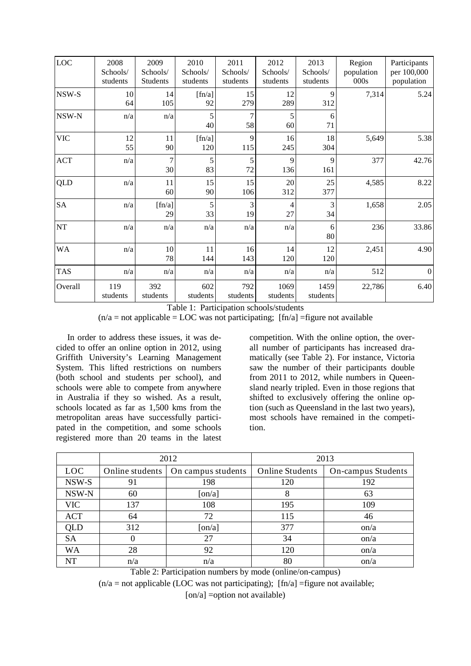| LOC        | 2008<br>Schools/<br>students | 2009<br>Schools/<br>Students | 2010<br>Schools/<br>students | 2011<br>Schools/<br>students | 2012<br>Schools/<br>students | 2013<br>Schools/<br>students | Region<br>population<br>000s | Participants<br>per 100,000<br>population |
|------------|------------------------------|------------------------------|------------------------------|------------------------------|------------------------------|------------------------------|------------------------------|-------------------------------------------|
| NSW-S      | 10<br>64                     | 14<br>105                    | [fn/a]<br>92                 | 15<br>279                    | 12<br>289                    | 9<br>312                     | 7,314                        | 5.24                                      |
| NSW-N      | n/a                          | n/a                          | 5<br>40                      | 58                           | 5<br>60                      | 6<br>71                      |                              |                                           |
| <b>VIC</b> | 12<br>55                     | 11<br>90                     | [fn/a]<br>120                | 9<br>115                     | 16<br>245                    | 18<br>304                    | 5,649                        | 5.38                                      |
| ACT        | n/a                          | 7<br>30                      | 5<br>83                      | 5<br>72                      | 9<br>136                     | 9<br>161                     | 377                          | 42.76                                     |
| <b>QLD</b> | n/a                          | 11<br>60                     | 15<br>90                     | 15<br>106                    | 20<br>312                    | 25<br>377                    | 4,585                        | 8.22                                      |
| <b>SA</b>  | n/a                          | [fn/a]<br>29                 | 5<br>33                      | 3<br>19                      | 4<br>27                      | 3<br>34                      | 1,658                        | 2.05                                      |
| $\rm{NT}$  | n/a                          | n/a                          | n/a                          | n/a                          | n/a                          | 6<br>80                      | 236                          | 33.86                                     |
| <b>WA</b>  | n/a                          | 10<br>78                     | 11<br>144                    | 16<br>143                    | 14<br>120                    | 12<br>120                    | 2,451                        | 4.90                                      |
| <b>TAS</b> | n/a                          | n/a                          | n/a                          | n/a                          | n/a                          | n/a                          | 512                          | $\boldsymbol{0}$                          |
| Overall    | 119<br>students              | 392<br>students              | 602<br>students              | 792<br>students              | 1069<br>students             | 1459<br>students             | 22,786                       | 6.40                                      |

Table 1: Participation schools/students  $(n/a = not applicable = LOC was not participating; [fn/a] = figure not available$ 

In order to address these issues, it was decided to offer an online option in 2012, using Griffith University's Learning Management System. This lifted restrictions on numbers (both school and students per school), and schools were able to compete from anywhere in Australia if they so wished. As a result, schools located as far as 1,500 kms from the metropolitan areas have successfully participated in the competition, and some schools registered more than 20 teams in the latest competition. With the online option, the overall number of participants has increased dramatically (see Table 2). For instance, Victoria saw the number of their participants double from 2011 to 2012, while numbers in Queensland nearly tripled. Even in those regions that shifted to exclusively offering the online option (such as Queensland in the last two years), most schools have remained in the competition.

|            |                 | 2012               | 2013                   |                    |  |
|------------|-----------------|--------------------|------------------------|--------------------|--|
| <b>LOC</b> | Online students | On campus students | <b>Online Students</b> | On-campus Students |  |
| NSW-S      | 91              | 198                | 120                    | 192                |  |
| NSW-N      | 60              | $\lceil$ on/a]     | 8                      | 63                 |  |
| <b>VIC</b> | 137             | 108                | 195                    | 109                |  |
| <b>ACT</b> | 64              | 72                 | 115                    | 46                 |  |
| QLD        | 312             | $\lceil$ on/a]     | 377                    | $\alpha$           |  |
| <b>SA</b>  | 0               | 27                 | 34                     | $\alpha$           |  |
| <b>WA</b>  | 28              | 92                 | 120                    | $\alpha$           |  |
| NT         | n/a             | n/a                | 80                     | $\alpha$           |  |

Table 2: Participation numbers by mode (online/on-campus)

 $(n/a = not applicable (LOC was not participating); [fn/a] = figure not available;$ 

 $[on/a] = option not available)$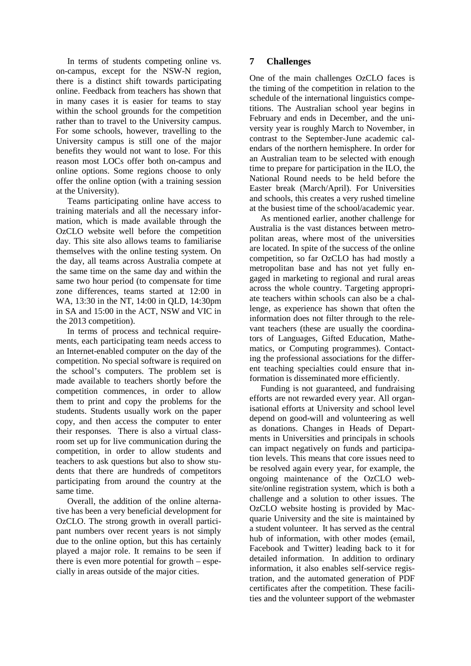In terms of students competing online vs. on-campus, except for the NSW-N region, there is a distinct shift towards participating online. Feedback from teachers has shown that in many cases it is easier for teams to stay within the school grounds for the competition rather than to travel to the University campus. For some schools, however, travelling to the University campus is still one of the major benefits they would not want to lose. For this reason most LOCs offer both on-campus and online options. Some regions choose to only offer the online option (with a training session at the University).

Teams participating online have access to training materials and all the necessary information, which is made available through the OzCLO website well before the competition day. This site also allows teams to familiarise themselves with the online testing system. On the day, all teams across Australia compete at the same time on the same day and within the same two hour period (to compensate for time zone differences, teams started at 12:00 in WA, 13:30 in the NT, 14:00 in QLD, 14:30pm in SA and 15:00 in the ACT, NSW and VIC in the 2013 competition).

In terms of process and technical requirements, each participating team needs access to an Internet-enabled computer on the day of the competition. No special software is required on the school's computers. The problem set is made available to teachers shortly before the competition commences, in order to allow them to print and copy the problems for the students. Students usually work on the paper copy, and then access the computer to enter their responses. There is also a virtual classroom set up for live communication during the competition, in order to allow students and teachers to ask questions but also to show students that there are hundreds of competitors participating from around the country at the same time.

Overall, the addition of the online alternative has been a very beneficial development for OzCLO. The strong growth in overall participant numbers over recent years is not simply due to the online option, but this has certainly played a major role. It remains to be seen if there is even more potential for growth – especially in areas outside of the major cities.

## **7 Challenges**

One of the main challenges OzCLO faces is the timing of the competition in relation to the schedule of the international linguistics competitions. The Australian school year begins in February and ends in December, and the university year is roughly March to November, in contrast to the September-June academic calendars of the northern hemisphere. In order for an Australian team to be selected with enough time to prepare for participation in the ILO, the National Round needs to be held before the Easter break (March/April). For Universities and schools, this creates a very rushed timeline at the busiest time of the school/academic year.

As mentioned earlier, another challenge for Australia is the vast distances between metropolitan areas, where most of the universities are located. In spite of the success of the online competition, so far OzCLO has had mostly a metropolitan base and has not yet fully engaged in marketing to regional and rural areas across the whole country. Targeting appropriate teachers within schools can also be a challenge, as experience has shown that often the information does not filter through to the relevant teachers (these are usually the coordinators of Languages, Gifted Education, Mathematics, or Computing programmes). Contacting the professional associations for the different teaching specialties could ensure that information is disseminated more efficiently.

Funding is not guaranteed, and fundraising efforts are not rewarded every year. All organisational efforts at University and school level depend on good-will and volunteering as well as donations. Changes in Heads of Departments in Universities and principals in schools can impact negatively on funds and participation levels. This means that core issues need to be resolved again every year, for example, the ongoing maintenance of the OzCLO website/online registration system, which is both a challenge and a solution to other issues. The OzCLO website hosting is provided by Macquarie University and the site is maintained by a student volunteer. It has served as the central hub of information, with other modes (email, Facebook and Twitter) leading back to it for detailed information. In addition to ordinary information, it also enables self-service registration, and the automated generation of PDF certificates after the competition. These facilities and the volunteer support of the webmaster